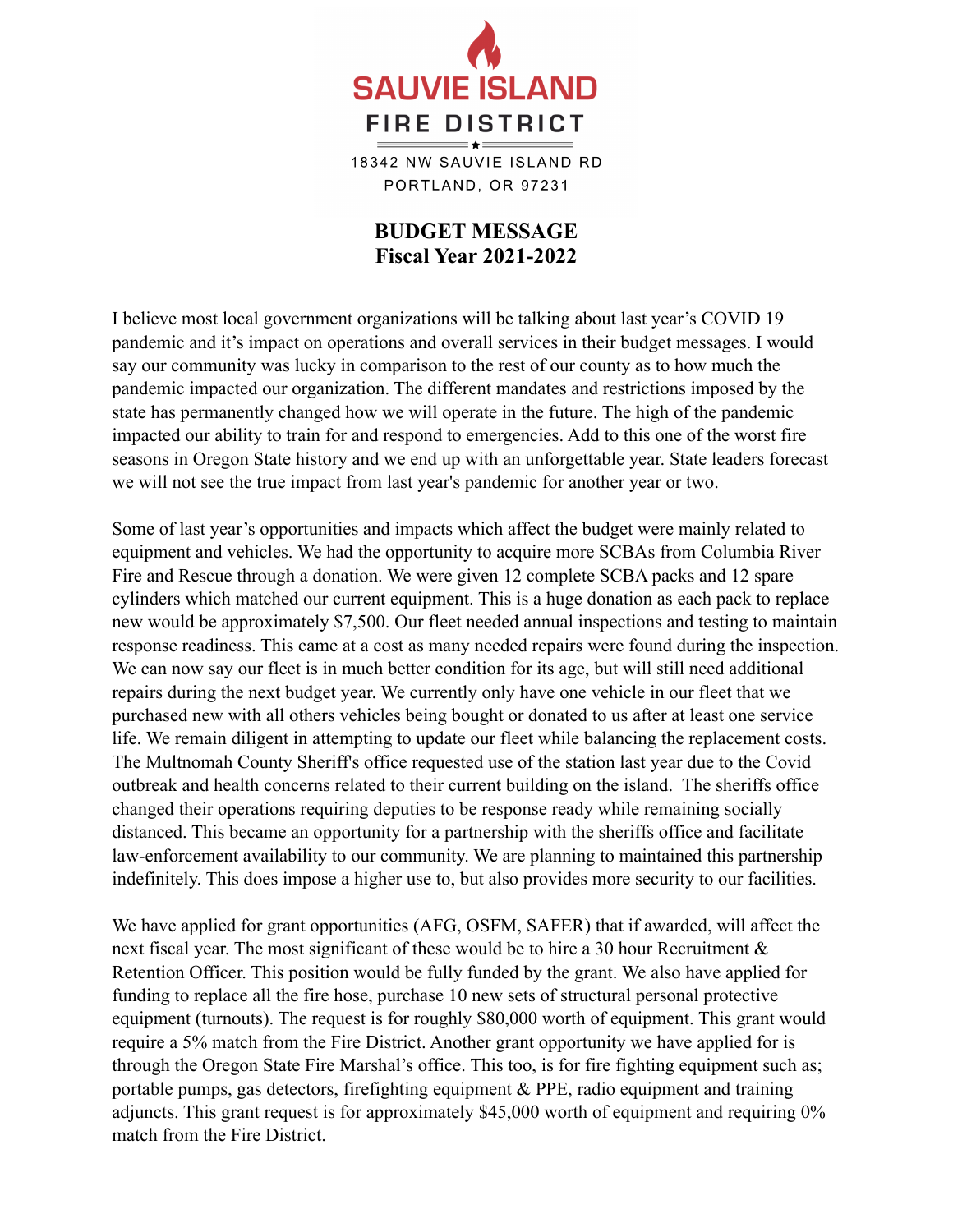

18342 NW SAUVIE ISLAND RD PORTLAND, OR 97231

## **BUDGET MESSAGE Fiscal Year 2021-2022**

I believe most local government organizations will be talking about last year's COVID 19 pandemic and it's impact on operations and overall services in their budget messages. I would say our community was lucky in comparison to the rest of our county as to how much the pandemic impacted our organization. The different mandates and restrictions imposed by the state has permanently changed how we will operate in the future. The high of the pandemic impacted our ability to train for and respond to emergencies. Add to this one of the worst fire seasons in Oregon State history and we end up with an unforgettable year. State leaders forecast we will not see the true impact from last year's pandemic for another year or two.

Some of last year's opportunities and impacts which affect the budget were mainly related to equipment and vehicles. We had the opportunity to acquire more SCBAs from Columbia River Fire and Rescue through a donation. We were given 12 complete SCBA packs and 12 spare cylinders which matched our current equipment. This is a huge donation as each pack to replace new would be approximately \$7,500. Our fleet needed annual inspections and testing to maintain response readiness. This came at a cost as many needed repairs were found during the inspection. We can now say our fleet is in much better condition for its age, but will still need additional repairs during the next budget year. We currently only have one vehicle in our fleet that we purchased new with all others vehicles being bought or donated to us after at least one service life. We remain diligent in attempting to update our fleet while balancing the replacement costs. The Multnomah County Sheriff's office requested use of the station last year due to the Covid outbreak and health concerns related to their current building on the island. The sheriffs office changed their operations requiring deputies to be response ready while remaining socially distanced. This became an opportunity for a partnership with the sheriffs office and facilitate law-enforcement availability to our community. We are planning to maintained this partnership indefinitely. This does impose a higher use to, but also provides more security to our facilities.

We have applied for grant opportunities (AFG, OSFM, SAFER) that if awarded, will affect the next fiscal year. The most significant of these would be to hire a 30 hour Recruitment & Retention Officer. This position would be fully funded by the grant. We also have applied for funding to replace all the fire hose, purchase 10 new sets of structural personal protective equipment (turnouts). The request is for roughly \$80,000 worth of equipment. This grant would require a 5% match from the Fire District. Another grant opportunity we have applied for is through the Oregon State Fire Marshal's office. This too, is for fire fighting equipment such as; portable pumps, gas detectors, firefighting equipment & PPE, radio equipment and training adjuncts. This grant request is for approximately \$45,000 worth of equipment and requiring 0% match from the Fire District.